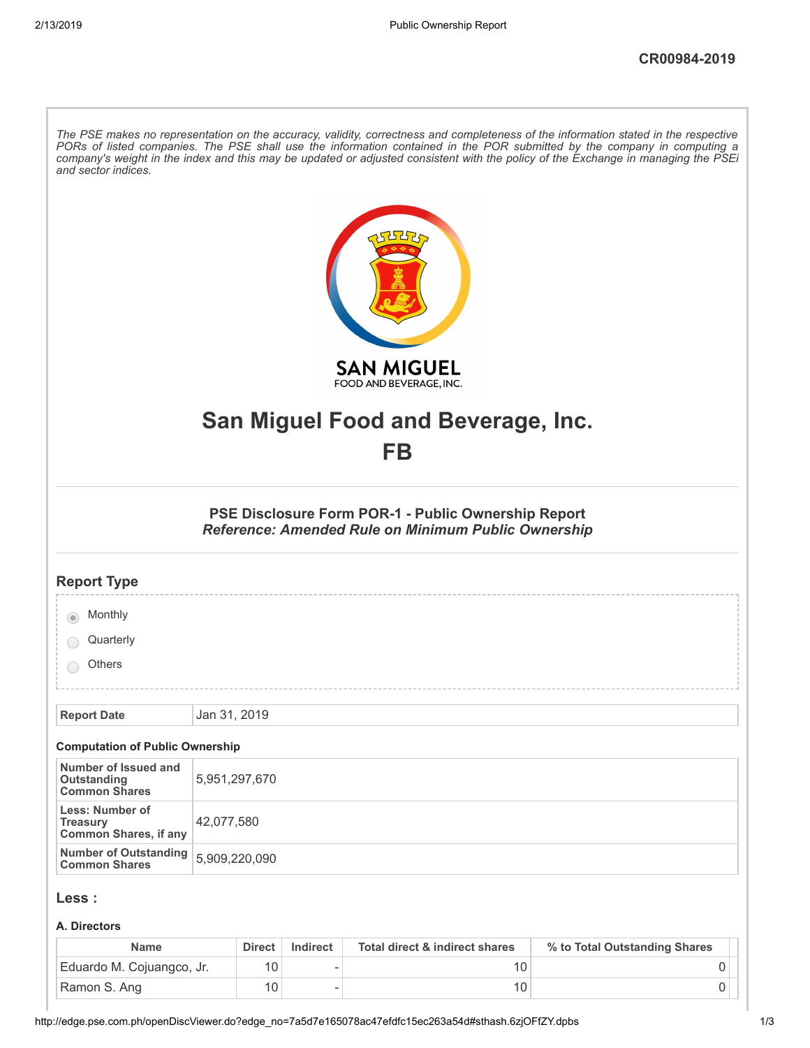| The PSE makes no representation on the accuracy, validity, correctness and completeness of the information stated in the respective<br>PORs of listed companies. The PSE shall use the information contained in the POR submitted by the company in computing a<br>company's weight in the index and this may be updated or adjusted consistent with the policy of the Exchange in managing the PSEi<br>and sector indices. |                                                                                                            |  |  |  |  |
|-----------------------------------------------------------------------------------------------------------------------------------------------------------------------------------------------------------------------------------------------------------------------------------------------------------------------------------------------------------------------------------------------------------------------------|------------------------------------------------------------------------------------------------------------|--|--|--|--|
|                                                                                                                                                                                                                                                                                                                                                                                                                             | <b>SAN MIGUEL</b><br>FOOD AND BEVERAGE, INC.                                                               |  |  |  |  |
|                                                                                                                                                                                                                                                                                                                                                                                                                             | San Miguel Food and Beverage, Inc.<br>FB                                                                   |  |  |  |  |
|                                                                                                                                                                                                                                                                                                                                                                                                                             | PSE Disclosure Form POR-1 - Public Ownership Report<br>Reference: Amended Rule on Minimum Public Ownership |  |  |  |  |
| <b>Report Type</b>                                                                                                                                                                                                                                                                                                                                                                                                          |                                                                                                            |  |  |  |  |
| Monthly                                                                                                                                                                                                                                                                                                                                                                                                                     |                                                                                                            |  |  |  |  |
| Quarterly                                                                                                                                                                                                                                                                                                                                                                                                                   |                                                                                                            |  |  |  |  |
| Others                                                                                                                                                                                                                                                                                                                                                                                                                      |                                                                                                            |  |  |  |  |
|                                                                                                                                                                                                                                                                                                                                                                                                                             |                                                                                                            |  |  |  |  |
| <b>Report Date</b>                                                                                                                                                                                                                                                                                                                                                                                                          | Jan 31, 2019                                                                                               |  |  |  |  |
| <b>Computation of Public Ownership</b>                                                                                                                                                                                                                                                                                                                                                                                      |                                                                                                            |  |  |  |  |
| Number of Issued and<br>Outstanding<br><b>Common Shares</b>                                                                                                                                                                                                                                                                                                                                                                 | 5,951,297,670                                                                                              |  |  |  |  |
| Less: Number of<br><b>Treasury</b><br><b>Common Shares, if any</b>                                                                                                                                                                                                                                                                                                                                                          | 42,077,580                                                                                                 |  |  |  |  |
| <b>Number of Outstanding</b><br><b>Common Shares</b>                                                                                                                                                                                                                                                                                                                                                                        | 5,909,220,090                                                                                              |  |  |  |  |
| Less :                                                                                                                                                                                                                                                                                                                                                                                                                      |                                                                                                            |  |  |  |  |
| A. Directors                                                                                                                                                                                                                                                                                                                                                                                                                |                                                                                                            |  |  |  |  |

| <b>Name</b>               | <b>Direct</b> | Indirect | Total direct & indirect shares | % to Total Outstanding Shares |
|---------------------------|---------------|----------|--------------------------------|-------------------------------|
| Eduardo M. Cojuangco, Jr. |               | -        |                                |                               |
| Ramon S. Ang              | 10            | -        | 10                             |                               |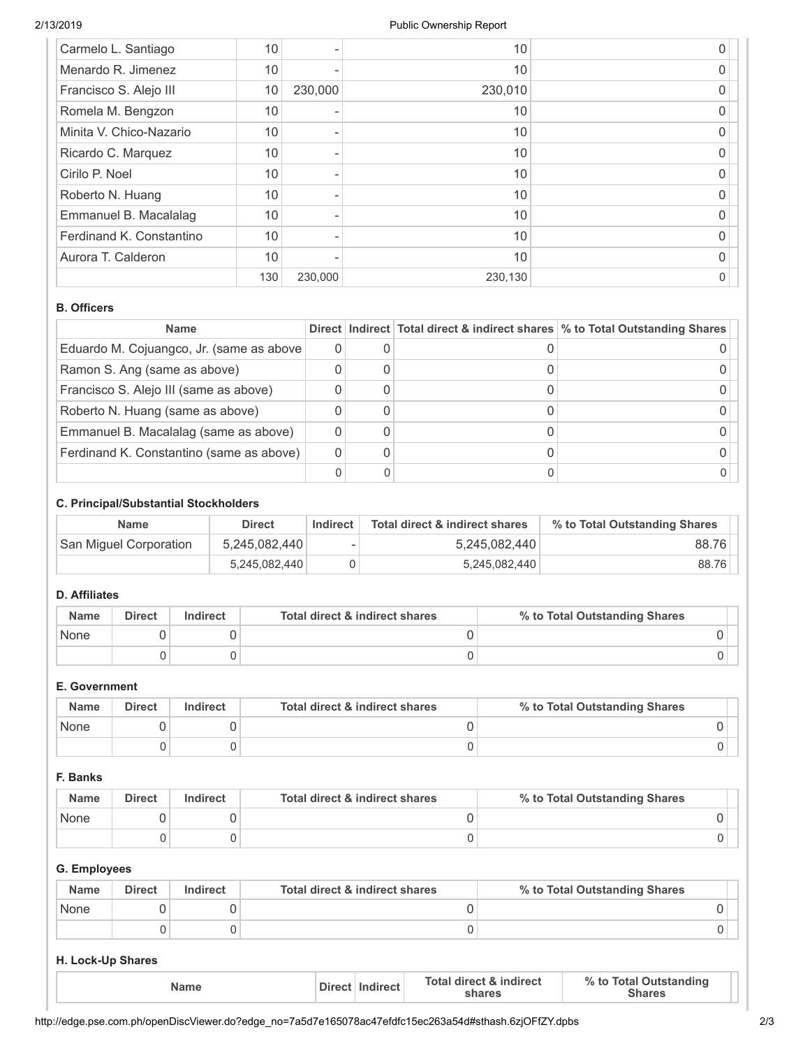| Carmelo L. Santiago      | 10  |         | 10      |   |
|--------------------------|-----|---------|---------|---|
| Menardo R. Jimenez       | 10  |         | 10      |   |
| Francisco S. Alejo III   | 10  | 230,000 | 230,010 |   |
| Romela M. Bengzon        | 10  |         | 10      |   |
| Minita V. Chico-Nazario  | 10  |         | 10      | 0 |
| Ricardo C. Marquez       | 10  |         | 10      | 0 |
| Cirilo P. Noel           | 10  |         | 10      | O |
| Roberto N. Huang         | 10  |         | 10      |   |
| Emmanuel B. Macalalag    | 10  |         | 10      |   |
| Ferdinand K. Constantino | 10  |         | 10      |   |
| Aurora T. Calderon       | 10  |         | 10      | 0 |
|                          | 130 | 230,000 | 230,130 | 0 |

#### **B. Officers**

| <b>Name</b>                              |  | Direct   Indirect   Total direct & indirect shares   % to Total Outstanding Shares |
|------------------------------------------|--|------------------------------------------------------------------------------------|
| Eduardo M. Cojuangco, Jr. (same as above |  |                                                                                    |
| Ramon S. Ang (same as above)             |  |                                                                                    |
| Francisco S. Alejo III (same as above)   |  |                                                                                    |
| Roberto N. Huang (same as above)         |  |                                                                                    |
| Emmanuel B. Macalalag (same as above)    |  |                                                                                    |
| Ferdinand K. Constantino (same as above) |  |                                                                                    |
|                                          |  |                                                                                    |

# **C. Principal/Substantial Stockholders**

| <b>Name</b>            | <b>Direct</b> | Indirect                 | Total direct & indirect shares | % to Total Outstanding Shares |
|------------------------|---------------|--------------------------|--------------------------------|-------------------------------|
| San Miguel Corporation | 5,245,082,440 | $\overline{\phantom{a}}$ | 5,245,082,440                  | 88.76                         |
|                        | 5,245,082,440 |                          | 5,245,082,440                  | 88.76                         |

## **D. Affiliates**

| <b>Name</b> | <b>Direct</b> | Indirect | Total direct & indirect shares | % to Total Outstanding Shares |
|-------------|---------------|----------|--------------------------------|-------------------------------|
| None        |               |          |                                |                               |
|             |               |          |                                |                               |

## **E. Government**

| <b>Name</b> | <b>Direct</b> | Indirect | Total direct & indirect shares | % to Total Outstanding Shares |
|-------------|---------------|----------|--------------------------------|-------------------------------|
| None        |               |          |                                |                               |
|             |               |          |                                |                               |

# **F. Banks**

| <b>Name</b> | <b>Direct</b> | Indirect | Total direct & indirect shares | % to Total Outstanding Shares |
|-------------|---------------|----------|--------------------------------|-------------------------------|
| None        |               |          |                                |                               |
|             |               |          |                                |                               |

# **G. Employees**

| <b>Name</b> | <b>Direct</b> | Indirect | Total direct & indirect shares | % to Total Outstanding Shares |
|-------------|---------------|----------|--------------------------------|-------------------------------|
| None        |               |          |                                |                               |
|             |               |          |                                |                               |

## **H. Lock-Up Shares**

| Namı | <b>Direct</b> | Indirect | <b>Total direct &amp; indirect</b><br>shares | $%$ to<br>Outstanding<br>Total<br>Shares |  |
|------|---------------|----------|----------------------------------------------|------------------------------------------|--|
|------|---------------|----------|----------------------------------------------|------------------------------------------|--|